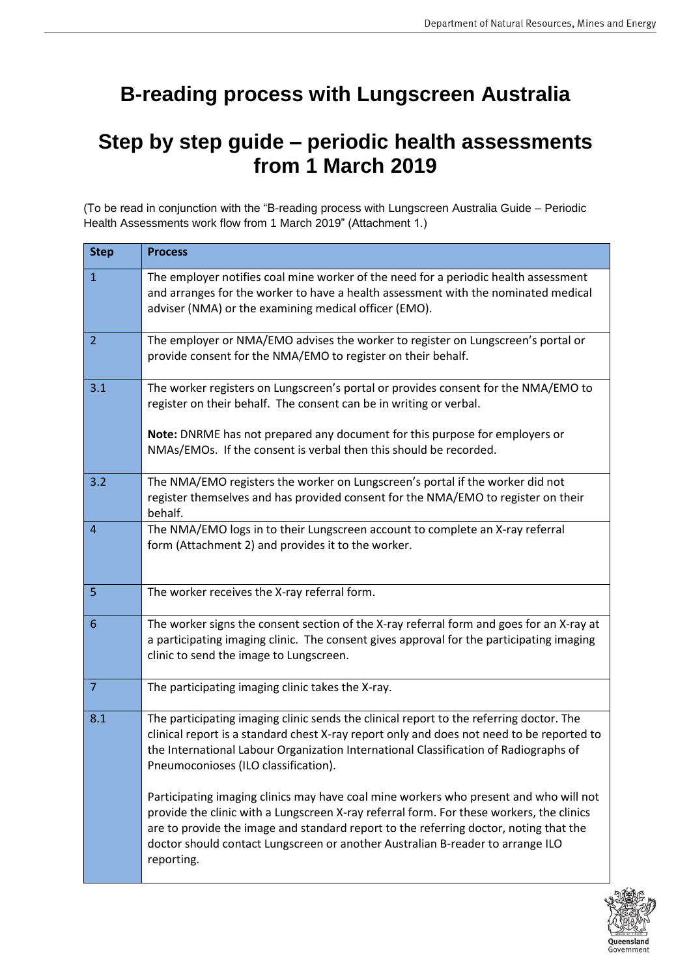# **B-reading process with Lungscreen Australia**

# **Step by step guide – periodic health assessments from 1 March 2019**

(To be read in conjunction with the "B-reading process with Lungscreen Australia Guide – Periodic Health Assessments work flow from 1 March 2019" (Attachment 1.)

| <b>Step</b>    | <b>Process</b>                                                                                                                                                                                                                                                                                                                                                             |
|----------------|----------------------------------------------------------------------------------------------------------------------------------------------------------------------------------------------------------------------------------------------------------------------------------------------------------------------------------------------------------------------------|
| $\mathbf{1}$   | The employer notifies coal mine worker of the need for a periodic health assessment<br>and arranges for the worker to have a health assessment with the nominated medical<br>adviser (NMA) or the examining medical officer (EMO).                                                                                                                                         |
| $\overline{2}$ | The employer or NMA/EMO advises the worker to register on Lungscreen's portal or<br>provide consent for the NMA/EMO to register on their behalf.                                                                                                                                                                                                                           |
| 3.1            | The worker registers on Lungscreen's portal or provides consent for the NMA/EMO to<br>register on their behalf. The consent can be in writing or verbal.                                                                                                                                                                                                                   |
|                | Note: DNRME has not prepared any document for this purpose for employers or<br>NMAs/EMOs. If the consent is verbal then this should be recorded.                                                                                                                                                                                                                           |
| 3.2            | The NMA/EMO registers the worker on Lungscreen's portal if the worker did not<br>register themselves and has provided consent for the NMA/EMO to register on their<br>behalf.                                                                                                                                                                                              |
| $\overline{A}$ | The NMA/EMO logs in to their Lungscreen account to complete an X-ray referral<br>form (Attachment 2) and provides it to the worker.                                                                                                                                                                                                                                        |
| 5              | The worker receives the X-ray referral form.                                                                                                                                                                                                                                                                                                                               |
| 6              | The worker signs the consent section of the X-ray referral form and goes for an X-ray at<br>a participating imaging clinic. The consent gives approval for the participating imaging<br>clinic to send the image to Lungscreen.                                                                                                                                            |
| 7              | The participating imaging clinic takes the X-ray.                                                                                                                                                                                                                                                                                                                          |
| 8.1            | The participating imaging clinic sends the clinical report to the referring doctor. The<br>clinical report is a standard chest X-ray report only and does not need to be reported to<br>the International Labour Organization International Classification of Radiographs of<br>Pneumoconioses (ILO classification).                                                       |
|                | Participating imaging clinics may have coal mine workers who present and who will not<br>provide the clinic with a Lungscreen X-ray referral form. For these workers, the clinics<br>are to provide the image and standard report to the referring doctor, noting that the<br>doctor should contact Lungscreen or another Australian B-reader to arrange ILO<br>reporting. |

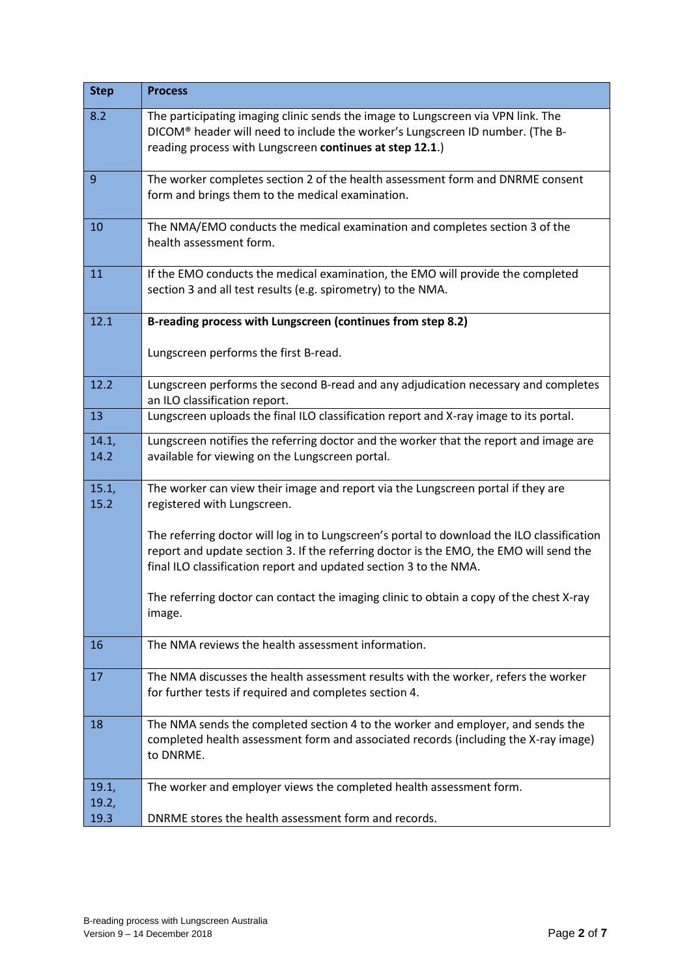| <b>Step</b>    | <b>Process</b>                                                                                                                                                                                                                                            |  |  |  |  |
|----------------|-----------------------------------------------------------------------------------------------------------------------------------------------------------------------------------------------------------------------------------------------------------|--|--|--|--|
| 8.2            | The participating imaging clinic sends the image to Lungscreen via VPN link. The<br>DICOM® header will need to include the worker's Lungscreen ID number. (The B-<br>reading process with Lungscreen continues at step 12.1.)                             |  |  |  |  |
| 9              | The worker completes section 2 of the health assessment form and DNRME consent<br>form and brings them to the medical examination.                                                                                                                        |  |  |  |  |
| 10             | The NMA/EMO conducts the medical examination and completes section 3 of the<br>health assessment form.                                                                                                                                                    |  |  |  |  |
| 11             | If the EMO conducts the medical examination, the EMO will provide the completed<br>section 3 and all test results (e.g. spirometry) to the NMA.                                                                                                           |  |  |  |  |
| 12.1           | B-reading process with Lungscreen (continues from step 8.2)                                                                                                                                                                                               |  |  |  |  |
|                | Lungscreen performs the first B-read.                                                                                                                                                                                                                     |  |  |  |  |
| 12.2           | Lungscreen performs the second B-read and any adjudication necessary and completes<br>an ILO classification report.                                                                                                                                       |  |  |  |  |
| 13             | Lungscreen uploads the final ILO classification report and X-ray image to its portal.                                                                                                                                                                     |  |  |  |  |
| 14.1,<br>14.2  | Lungscreen notifies the referring doctor and the worker that the report and image are<br>available for viewing on the Lungscreen portal.                                                                                                                  |  |  |  |  |
| 15.1,<br>15.2  | The worker can view their image and report via the Lungscreen portal if they are<br>registered with Lungscreen.                                                                                                                                           |  |  |  |  |
|                | The referring doctor will log in to Lungscreen's portal to download the ILO classification<br>report and update section 3. If the referring doctor is the EMO, the EMO will send the<br>final ILO classification report and updated section 3 to the NMA. |  |  |  |  |
|                | The referring doctor can contact the imaging clinic to obtain a copy of the chest X-ray<br>image.                                                                                                                                                         |  |  |  |  |
| 16             | The NMA reviews the health assessment information.                                                                                                                                                                                                        |  |  |  |  |
| 17             | The NMA discusses the health assessment results with the worker, refers the worker<br>for further tests if required and completes section 4.                                                                                                              |  |  |  |  |
| 18             | The NMA sends the completed section 4 to the worker and employer, and sends the<br>completed health assessment form and associated records (including the X-ray image)<br>to DNRME.                                                                       |  |  |  |  |
| 19.1,<br>19.2, | The worker and employer views the completed health assessment form.                                                                                                                                                                                       |  |  |  |  |
| 19.3           | DNRME stores the health assessment form and records.                                                                                                                                                                                                      |  |  |  |  |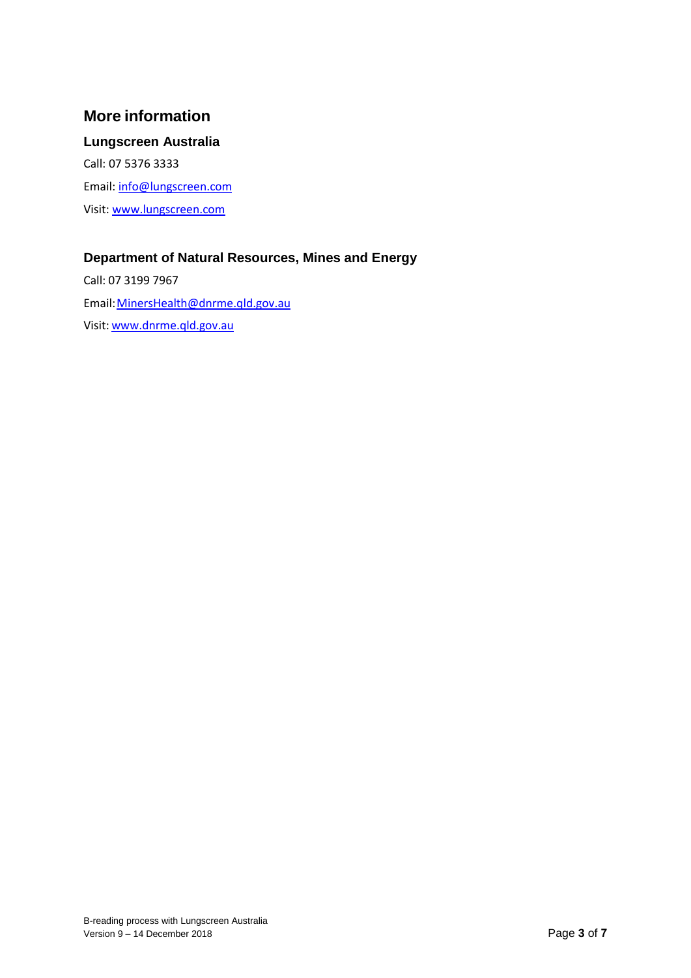### **More information**

### **Lungscreen Australia**

Call: 07 5376 3333 Email: [info@lungscreen.com](mailto:info@lungscreen.com) Visit[: www.lungscreen.com](http://www.lungscreen.com/)

### **Department of Natural Resources, Mines and Energy**

Call: 07 3199 7967 Email[: MinersHealth@dnrme.qld.gov.au](mailto:MinersHealth@dnrme.qld.gov.au)  Visit[: www.dnrme.qld.gov.au](http://www.dnrme.qld.gov.au/)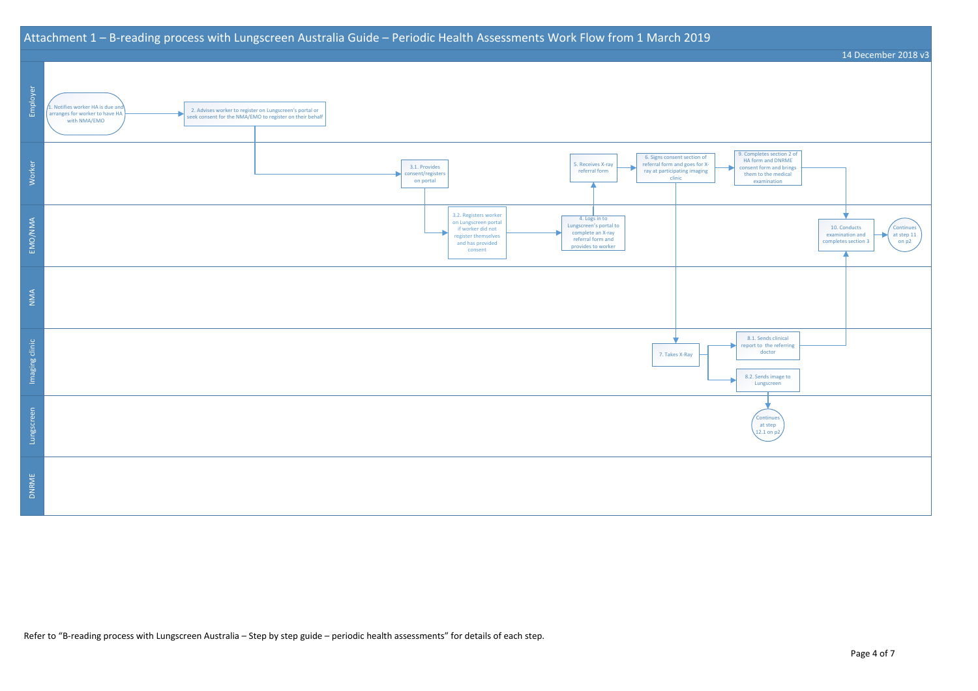### Attachment 1 – B-reading process with Lungscreen Australia Guide – Periodic Health Assessments Work Flow from 1 March 2019





Refer to "B-reading process with Lungscreen Australia – Step by step guide – periodic health assessments" for details of each step.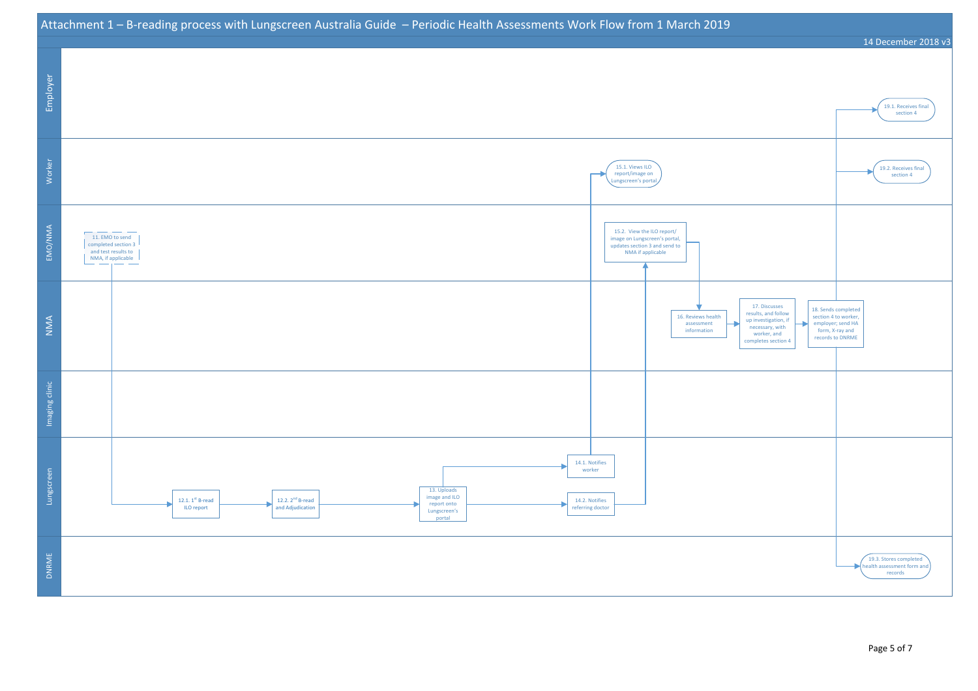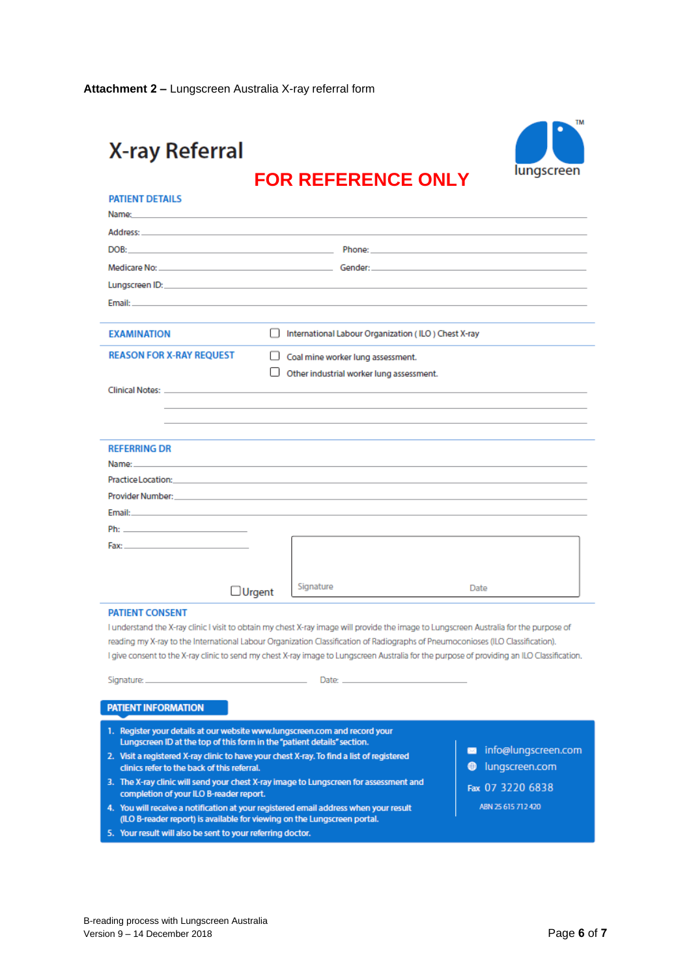# **X-ray Referral**



## **FOR REFERENCE ONLY**

| <b>PATIENT DETAILS</b><br>Name:                                                                                                                                                                                                |                                                                                                                                                                 |                                                                                                                                             |                          |  |  |  |
|--------------------------------------------------------------------------------------------------------------------------------------------------------------------------------------------------------------------------------|-----------------------------------------------------------------------------------------------------------------------------------------------------------------|---------------------------------------------------------------------------------------------------------------------------------------------|--------------------------|--|--|--|
| Address: Address: Address: Address: Address: Address: Address: Address: Address: Address: Address: A                                                                                                                           |                                                                                                                                                                 |                                                                                                                                             |                          |  |  |  |
| DOB: the contract of the contract of the contract of the contract of the contract of the contract of the contract of the contract of the contract of the contract of the contract of the contract of the contract of the contr |                                                                                                                                                                 |                                                                                                                                             |                          |  |  |  |
|                                                                                                                                                                                                                                |                                                                                                                                                                 |                                                                                                                                             |                          |  |  |  |
|                                                                                                                                                                                                                                |                                                                                                                                                                 |                                                                                                                                             |                          |  |  |  |
| Email: And a state of the state of the state of the state of the state of the state of the state of the state of the                                                                                                           |                                                                                                                                                                 |                                                                                                                                             |                          |  |  |  |
|                                                                                                                                                                                                                                |                                                                                                                                                                 |                                                                                                                                             |                          |  |  |  |
| <b>EXAMINATION</b>                                                                                                                                                                                                             |                                                                                                                                                                 | International Labour Organization (ILO) Chest X-ray                                                                                         |                          |  |  |  |
| <b>REASON FOR X-RAY REQUEST</b>                                                                                                                                                                                                |                                                                                                                                                                 | Coal mine worker lung assessment.                                                                                                           |                          |  |  |  |
|                                                                                                                                                                                                                                |                                                                                                                                                                 | Other industrial worker lung assessment.                                                                                                    |                          |  |  |  |
| Clinical Notes: Notes: Notes: Notes: Notes: Notes: Notes: Notes: Notes: Notes: Notes: Notes: No. 1999. [1] 1] 1] 1999. [1] 1999. [1] 1999. [1] 1999. [1] 1999. [1] 1999. [1] 1999. [1] 1999. [1] 1999. [1] 1999. [1] 1999. [1] |                                                                                                                                                                 |                                                                                                                                             |                          |  |  |  |
|                                                                                                                                                                                                                                |                                                                                                                                                                 |                                                                                                                                             |                          |  |  |  |
|                                                                                                                                                                                                                                |                                                                                                                                                                 |                                                                                                                                             |                          |  |  |  |
| <b>REFERRING DR</b>                                                                                                                                                                                                            |                                                                                                                                                                 |                                                                                                                                             |                          |  |  |  |
| Name: And a state of the contract of the contract of the contract of the contract of the contract of the contract of the contract of the contract of the contract of the contract of the contract of the contract of the contr |                                                                                                                                                                 |                                                                                                                                             |                          |  |  |  |
| Practice Location: Annual Maria Communication of the Communication of the Communication of the Communication of                                                                                                                |                                                                                                                                                                 |                                                                                                                                             |                          |  |  |  |
|                                                                                                                                                                                                                                |                                                                                                                                                                 |                                                                                                                                             |                          |  |  |  |
| Email: Email: Program and Program and Program and Program and Program and Program and Program and Program and Program and Program and Program and Program and Program and Program and Program and Program and Program and Prog |                                                                                                                                                                 |                                                                                                                                             |                          |  |  |  |
| Ph: 2000 Contract Contract Contract Contract Contract Contract Contract Contract Contract Contract Contract Contract Contract Contract Contract Contract Contract Contract Contract Contract Contract Contract Contract Contra |                                                                                                                                                                 |                                                                                                                                             |                          |  |  |  |
| Fax: The contract of the contract of the contract of the contract of the contract of the contract of the contract of the contract of the contract of the contract of the contract of the contract of the contract of the contr |                                                                                                                                                                 |                                                                                                                                             |                          |  |  |  |
|                                                                                                                                                                                                                                |                                                                                                                                                                 |                                                                                                                                             |                          |  |  |  |
| $\Box$ Urgent                                                                                                                                                                                                                  |                                                                                                                                                                 | Signature                                                                                                                                   | Date                     |  |  |  |
| <b>PATIENT CONSENT</b>                                                                                                                                                                                                         |                                                                                                                                                                 |                                                                                                                                             |                          |  |  |  |
|                                                                                                                                                                                                                                |                                                                                                                                                                 | I understand the X-ray clinic I visit to obtain my chest X-ray image will provide the image to Lungscreen Australia for the purpose of      |                          |  |  |  |
|                                                                                                                                                                                                                                |                                                                                                                                                                 | reading my X-ray to the International Labour Organization Classification of Radiographs of Pneumoconioses (ILO Classification).             |                          |  |  |  |
|                                                                                                                                                                                                                                |                                                                                                                                                                 | I give consent to the X-ray clinic to send my chest X-ray image to Lungscreen Australia for the purpose of providing an ILO Classification. |                          |  |  |  |
|                                                                                                                                                                                                                                |                                                                                                                                                                 |                                                                                                                                             |                          |  |  |  |
|                                                                                                                                                                                                                                |                                                                                                                                                                 |                                                                                                                                             |                          |  |  |  |
| <b>PATIENT INFORMATION</b>                                                                                                                                                                                                     |                                                                                                                                                                 |                                                                                                                                             |                          |  |  |  |
| 1. Register your details at our website www.lungscreen.com and record your                                                                                                                                                     |                                                                                                                                                                 |                                                                                                                                             |                          |  |  |  |
| Lungscreen ID at the top of this form in the "patient details" section.                                                                                                                                                        |                                                                                                                                                                 |                                                                                                                                             | info@lungscreen.com<br>× |  |  |  |
|                                                                                                                                                                                                                                | 2. Visit a registered X-ray clinic to have your chest X-ray. To find a list of registered<br>lungscreen.com<br>clinics refer to the back of this referral.<br>o |                                                                                                                                             |                          |  |  |  |
|                                                                                                                                                                                                                                | 3. The X-ray clinic will send your chest X-ray image to Lungscreen for assessment and<br>Fax 07 3220 6838                                                       |                                                                                                                                             |                          |  |  |  |
| completion of your ILO B-reader report.<br>ABN 25 615 712 420                                                                                                                                                                  |                                                                                                                                                                 |                                                                                                                                             |                          |  |  |  |
| 4. You will receive a notification at your registered email address when your result<br>(ILO B-reader report) is available for viewing on the Lungscreen portal.                                                               |                                                                                                                                                                 |                                                                                                                                             |                          |  |  |  |
| 5. Your result will also be sent to your referring doctor.                                                                                                                                                                     |                                                                                                                                                                 |                                                                                                                                             |                          |  |  |  |